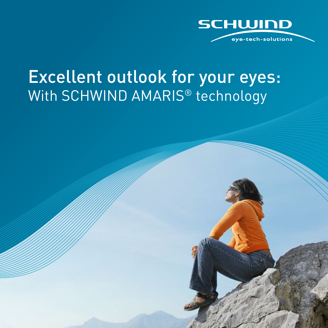

### Excellent outlook for your eyes: With SCHWIND AMARIS<sup>®</sup> technology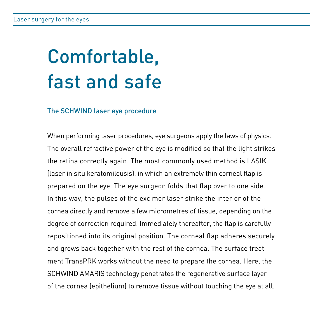# Comfortable, fast and safe

#### The SCHWIND laser eye procedure

When performing laser procedures, eye surgeons apply the laws of physics. The overall refractive power of the eye is modified so that the light strikes the retina correctly again. The most commonly used method is LASIK (laser in situ keratomileusis), in which an extremely thin corneal flap is prepared on the eye. The eye surgeon folds that flap over to one side. In this way, the pulses of the excimer laser strike the interior of the cornea directly and remove a few micrometres of tissue, depending on the degree of correction required. Immediately thereafter, the flap is carefully repositioned into its original position. The corneal flap adheres securely and grows back together with the rest of the cornea. The surface treatment TransPRK works without the need to prepare the cornea. Here, the SCHWIND AMARIS technology penetrates the regenerative surface layer of the cornea (epithelium) to remove tissue without touching the eye at all.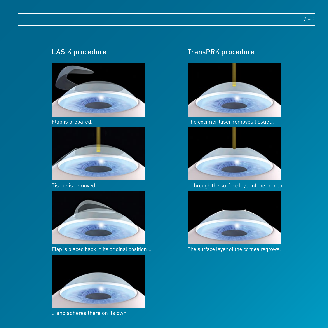

Flap is prepared.



Tissue is removed.



Flap is placed back in its original position …



… and adheres there on its own.

### LASIK procedure TransPRK procedure



The excimer laser removes tissue …



… through the surface layer of the cornea.



The surface layer of the cornea regrows.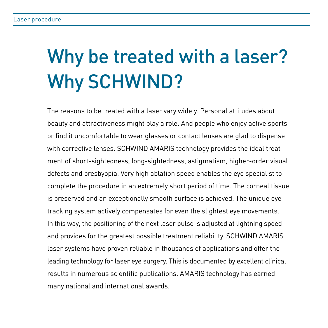# Why be treated with a laser? Why SCHWIND?

The reasons to be treated with a laser vary widely. Personal attitudes about beauty and attractiveness might play a role. And people who enjoy active sports or find it uncomfortable to wear glasses or contact lenses are glad to dispense with corrective lenses. SCHWIND AMARIS technology provides the ideal treatment of short-sightedness, long-sightedness, astigmatism, higher-order visual defects and presbyopia. Very high ablation speed enables the eye specialist to complete the procedure in an extremely short period of time. The corneal tissue is preserved and an exceptionally smooth surface is achieved. The unique eye tracking system actively compensates for even the slightest eye movements. In this way, the positioning of the next laser pulse is adjusted at lightning speed – and provides for the greatest possible treatment reliability. SCHWIND AMARIS laser systems have proven reliable in thousands of applications and offer the leading technology for laser eye surgery. This is documented by excellent clinical results in numerous scientific publications. AMARIS technology has earned many national and international awards.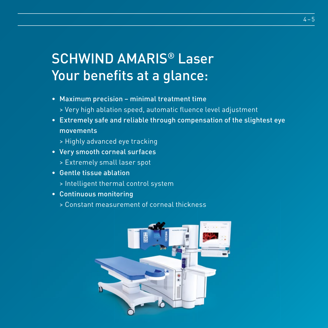### SCHWIND AMARIS® Laser Your benefits at a glance:

- Maximum precision minimal treatment time > Very high ablation speed, automatic fl uence level adjustment
- Extremely safe and reliable through compensation of the slightest eye movements
	- > Highly advanced eye tracking
- Very smooth corneal surfaces
	- > Extremely small laser spot
- Gentle tissue ablation
	- > Intelligent thermal control system
- Continuous monitoring
	- > Constant measurement of corneal thickness

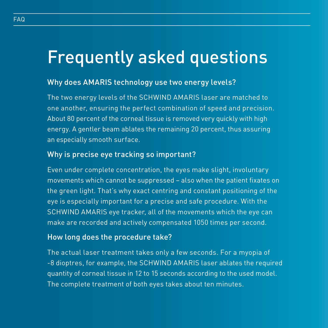## Frequently asked questions

### Why does AMARIS technology use two energy levels?

The two energy levels of the SCHWIND AMARIS laser are matched to one another, ensuring the perfect combination of speed and precision. About 80 percent of the corneal tissue is removed very quickly with high energy. A gentler beam ablates the remaining 20 percent, thus assuring an especially smooth surface.

### Why is precise eye tracking so important?

Even under complete concentration, the eyes make slight, involuntary movements which cannot be suppressed - also when the patient fixates on the green light. That's why exact centring and constant positioning of the eye is especially important for a precise and safe procedure. With the SCHWIND AMARIS eye tracker, all of the movements which the eye can make are recorded and actively compensated 1050 times per second.

#### How long does the procedure take?

The actual laser treatment takes only a few seconds. For a myopia of -8 dioptres, for example, the SCHWIND AMARIS laser ablates the required quantity of corneal tissue in 12 to 15 seconds according to the used model. The complete treatment of both eyes takes about ten minutes.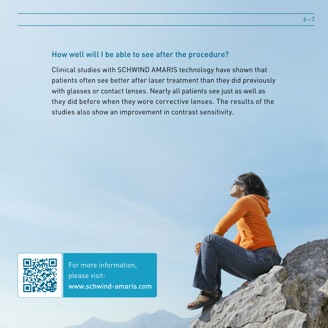### How well will I be able to see after the procedure?

Clinical studies with SCHWIND AMARIS technology have shown that patients often see better after laser treatment than they did previously with glasses or contact lenses. Nearly all patients see just as well as they did before when they wore corrective lenses. The results of the studies also show an improvement in contrast sensitivity.



For more information, please visit: www.schwind-amaris.com